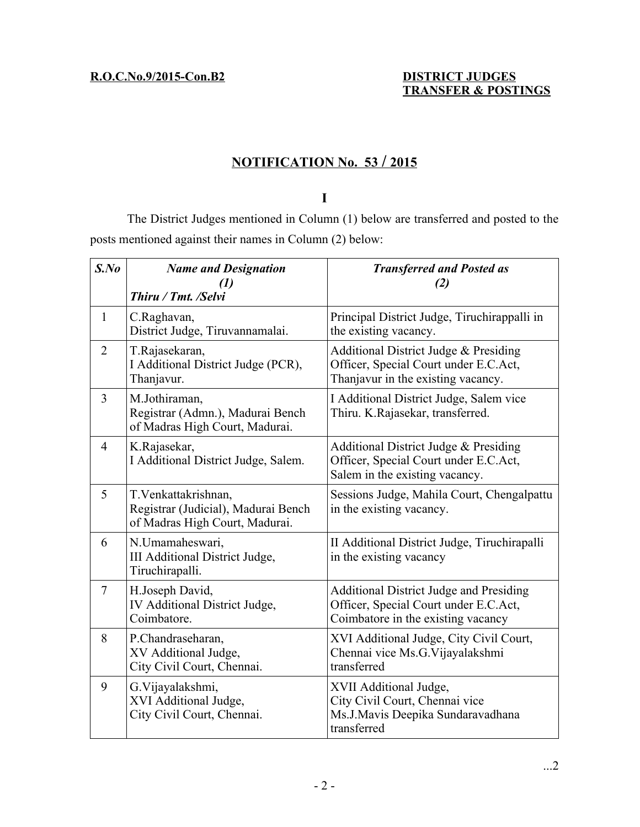# **N OTIFICATION No. 53 / 2015**

## **I**

The District Judges mentioned in Column (1) below are transferred and posted to the posts mentioned against their names in Column (2) below:

| $S$ .No        | <b>Name and Designation</b><br>$\left( l\right)$<br>Thiru / Tmt. /Selvi                       | <b>Transferred and Posted as</b><br>(2)                                                                                       |
|----------------|-----------------------------------------------------------------------------------------------|-------------------------------------------------------------------------------------------------------------------------------|
| $\mathbf{1}$   | C.Raghavan,<br>District Judge, Tiruvannamalai.                                                | Principal District Judge, Tiruchirappalli in<br>the existing vacancy.                                                         |
| $\overline{2}$ | T.Rajasekaran,<br>I Additional District Judge (PCR),<br>Thanjavur.                            | Additional District Judge & Presiding<br>Officer, Special Court under E.C.Act,<br>Thanjavur in the existing vacancy.          |
| 3              | M.Jothiraman,<br>Registrar (Admn.), Madurai Bench<br>of Madras High Court, Madurai.           | I Additional District Judge, Salem vice<br>Thiru. K.Rajasekar, transferred.                                                   |
| $\overline{4}$ | K.Rajasekar,<br>I Additional District Judge, Salem.                                           | Additional District Judge & Presiding<br>Officer, Special Court under E.C.Act,<br>Salem in the existing vacancy.              |
| 5              | T. Venkattakrishnan,<br>Registrar (Judicial), Madurai Bench<br>of Madras High Court, Madurai. | Sessions Judge, Mahila Court, Chengalpattu<br>in the existing vacancy.                                                        |
| 6              | N.Umamaheswari,<br>III Additional District Judge,<br>Tiruchirapalli.                          | II Additional District Judge, Tiruchirapalli<br>in the existing vacancy                                                       |
| $\overline{7}$ | H.Joseph David,<br>IV Additional District Judge,<br>Coimbatore.                               | <b>Additional District Judge and Presiding</b><br>Officer, Special Court under E.C.Act,<br>Coimbatore in the existing vacancy |
| 8              | P.Chandraseharan,<br>XV Additional Judge,<br>City Civil Court, Chennai.                       | XVI Additional Judge, City Civil Court,<br>Chennai vice Ms.G. Vijayalakshmi<br>transferred                                    |
| 9              | G.Vijayalakshmi,<br>XVI Additional Judge,<br>City Civil Court, Chennai.                       | XVII Additional Judge,<br>City Civil Court, Chennai vice<br>Ms.J.Mavis Deepika Sundaravadhana<br>transferred                  |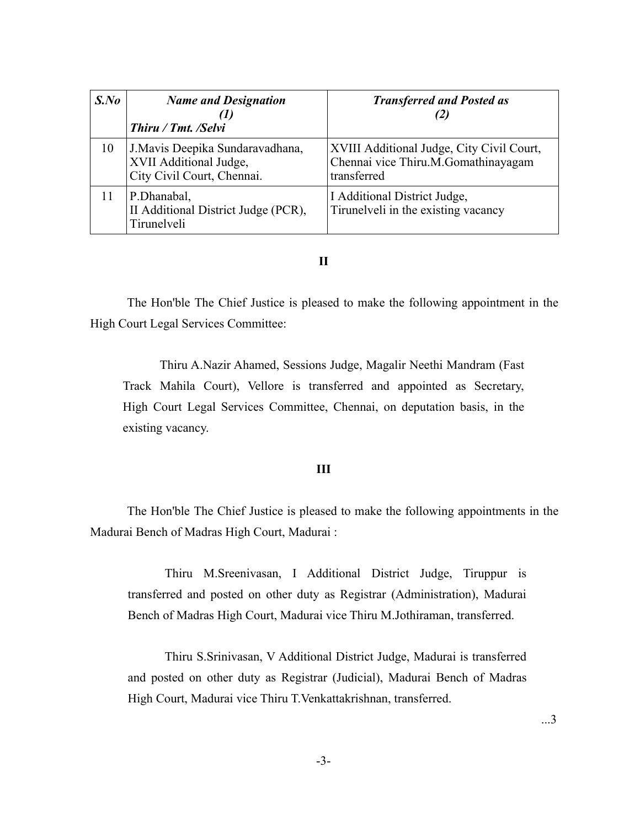| $S$ .No | <b>Name and Designation</b><br>Thiru / Tmt. /Selvi                                       | <b>Transferred and Posted as</b><br>(2)                                                         |
|---------|------------------------------------------------------------------------------------------|-------------------------------------------------------------------------------------------------|
| 10      | J. Mavis Deepika Sundaravadhana,<br>XVII Additional Judge,<br>City Civil Court, Chennai. | XVIII Additional Judge, City Civil Court,<br>Chennai vice Thiru.M.Gomathinayagam<br>transferred |
| 11      | P.Dhanabal,<br>II Additional District Judge (PCR),<br>Tirunelveli                        | I Additional District Judge,<br>Tirunelveli in the existing vacancy                             |

### **II**

The Hon'ble The Chief Justice is pleased to make the following appointment in the High Court Legal Services Committee:

Thiru A.Nazir Ahamed, Sessions Judge, Magalir Neethi Mandram (Fast Track Mahila Court), Vellore is transferred and appointed as Secretary, High Court Legal Services Committee, Chennai, on deputation basis, in the existing vacancy.

### **III**

The Hon'ble The Chief Justice is pleased to make the following appointments in the Madurai Bench of Madras High Court, Madurai :

Thiru M.Sreenivasan, I Additional District Judge, Tiruppur is transferred and posted on other duty as Registrar (Administration), Madurai Bench of Madras High Court, Madurai vice Thiru M.Jothiraman, transferred.

Thiru S.Srinivasan, V Additional District Judge, Madurai is transferred and posted on other duty as Registrar (Judicial), Madurai Bench of Madras High Court, Madurai vice Thiru T.Venkattakrishnan, transferred.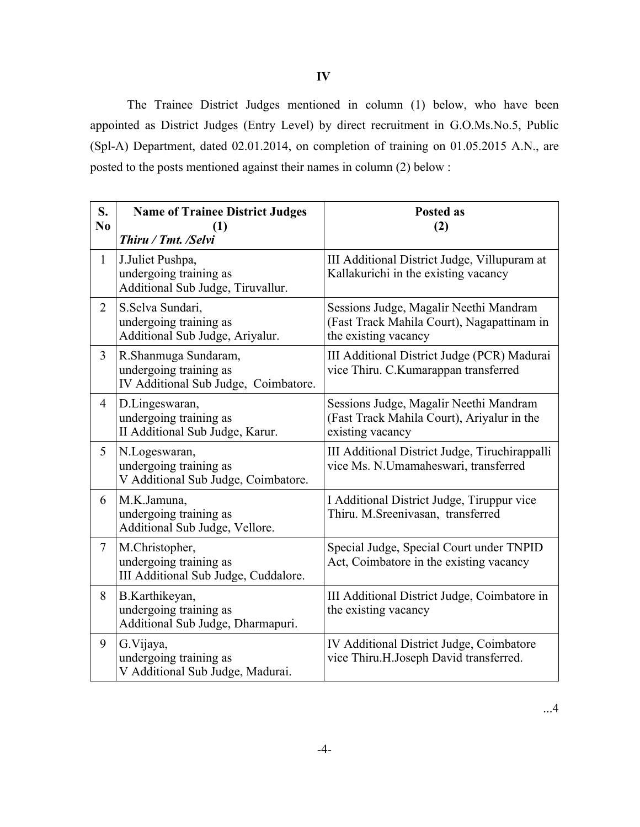**IV**

The Trainee District Judges mentioned in column (1) below, who have been appointed as District Judges (Entry Level) by direct recruitment in G.O.Ms.No.5, Public (Spl-A) Department, dated 02.01.2014, on completion of training on 01.05.2015 A.N., are posted to the posts mentioned against their names in column (2) below :

| S.<br>N <sub>0</sub> | <b>Name of Trainee District Judges</b><br>$\bf(1)$<br>Thiru / Tmt. /Selvi              | <b>Posted as</b><br>(2)                                                                                      |
|----------------------|----------------------------------------------------------------------------------------|--------------------------------------------------------------------------------------------------------------|
| $\mathbf{1}$         | J.Juliet Pushpa,<br>undergoing training as<br>Additional Sub Judge, Tiruvallur.        | III Additional District Judge, Villupuram at<br>Kallakurichi in the existing vacancy                         |
| $\overline{2}$       | S.Selva Sundari,<br>undergoing training as<br>Additional Sub Judge, Ariyalur.          | Sessions Judge, Magalir Neethi Mandram<br>(Fast Track Mahila Court), Nagapattinam in<br>the existing vacancy |
| $\overline{3}$       | R.Shanmuga Sundaram,<br>undergoing training as<br>IV Additional Sub Judge, Coimbatore. | III Additional District Judge (PCR) Madurai<br>vice Thiru. C.Kumarappan transferred                          |
| $\overline{4}$       | D.Lingeswaran,<br>undergoing training as<br>II Additional Sub Judge, Karur.            | Sessions Judge, Magalir Neethi Mandram<br>(Fast Track Mahila Court), Ariyalur in the<br>existing vacancy     |
| 5                    | N.Logeswaran,<br>undergoing training as<br>V Additional Sub Judge, Coimbatore.         | III Additional District Judge, Tiruchirappalli<br>vice Ms. N.Umamaheswari, transferred                       |
| 6                    | M.K.Jamuna,<br>undergoing training as<br>Additional Sub Judge, Vellore.                | I Additional District Judge, Tiruppur vice<br>Thiru. M.Sreenivasan, transferred                              |
| $\overline{7}$       | M.Christopher,<br>undergoing training as<br>III Additional Sub Judge, Cuddalore.       | Special Judge, Special Court under TNPID<br>Act, Coimbatore in the existing vacancy                          |
| 8                    | B.Karthikeyan,<br>undergoing training as<br>Additional Sub Judge, Dharmapuri.          | III Additional District Judge, Coimbatore in<br>the existing vacancy                                         |
| 9                    | G.Vijaya,<br>undergoing training as<br>V Additional Sub Judge, Madurai.                | IV Additional District Judge, Coimbatore<br>vice Thiru.H.Joseph David transferred.                           |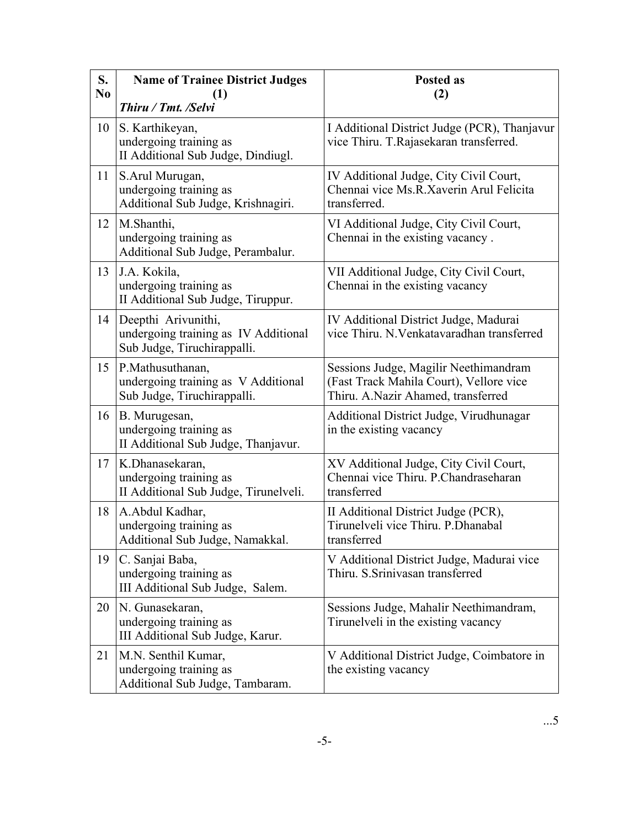| S.<br>N <sub>0</sub> | <b>Name of Trainee District Judges</b><br>1)<br>Thiru / Tmt. /Selvi                        | <b>Posted as</b><br>(2)                                                                                                |
|----------------------|--------------------------------------------------------------------------------------------|------------------------------------------------------------------------------------------------------------------------|
| 10                   | S. Karthikeyan,<br>undergoing training as<br>II Additional Sub Judge, Dindiugl.            | I Additional District Judge (PCR), Thanjavur<br>vice Thiru. T.Rajasekaran transferred.                                 |
| 11                   | S. Arul Murugan,<br>undergoing training as<br>Additional Sub Judge, Krishnagiri.           | IV Additional Judge, City Civil Court,<br>Chennai vice Ms.R.Xaverin Arul Felicita<br>transferred.                      |
| 12                   | M.Shanthi,<br>undergoing training as<br>Additional Sub Judge, Perambalur.                  | VI Additional Judge, City Civil Court,<br>Chennai in the existing vacancy.                                             |
| 13                   | J.A. Kokila,<br>undergoing training as<br>II Additional Sub Judge, Tiruppur.               | VII Additional Judge, City Civil Court,<br>Chennai in the existing vacancy                                             |
| 14                   | Deepthi Arivunithi,<br>undergoing training as IV Additional<br>Sub Judge, Tiruchirappalli. | IV Additional District Judge, Madurai<br>vice Thiru. N. Venkatavaradhan transferred                                    |
| 15                   | P.Mathusuthanan,<br>undergoing training as V Additional<br>Sub Judge, Tiruchirappalli.     | Sessions Judge, Magilir Neethimandram<br>(Fast Track Mahila Court), Vellore vice<br>Thiru. A.Nazir Ahamed, transferred |
| 16                   | B. Murugesan,<br>undergoing training as<br>II Additional Sub Judge, Thanjavur.             | Additional District Judge, Virudhunagar<br>in the existing vacancy                                                     |
| 17                   | K.Dhanasekaran,<br>undergoing training as<br>II Additional Sub Judge, Tirunelveli.         | XV Additional Judge, City Civil Court,<br>Chennai vice Thiru. P.Chandraseharan<br>transferred                          |
| 18                   | A.Abdul Kadhar,<br>undergoing training as<br>Additional Sub Judge, Namakkal.               | II Additional District Judge (PCR),<br>Tirunelveli vice Thiru. P.Dhanabal<br>transferred                               |
| 19                   | C. Sanjai Baba,<br>undergoing training as<br>III Additional Sub Judge, Salem.              | V Additional District Judge, Madurai vice<br>Thiru. S. Srinivasan transferred                                          |
| 20                   | N. Gunasekaran,<br>undergoing training as<br>III Additional Sub Judge, Karur.              | Sessions Judge, Mahalir Neethimandram,<br>Tirunelveli in the existing vacancy                                          |
| 21                   | M.N. Senthil Kumar,<br>undergoing training as<br>Additional Sub Judge, Tambaram.           | V Additional District Judge, Coimbatore in<br>the existing vacancy                                                     |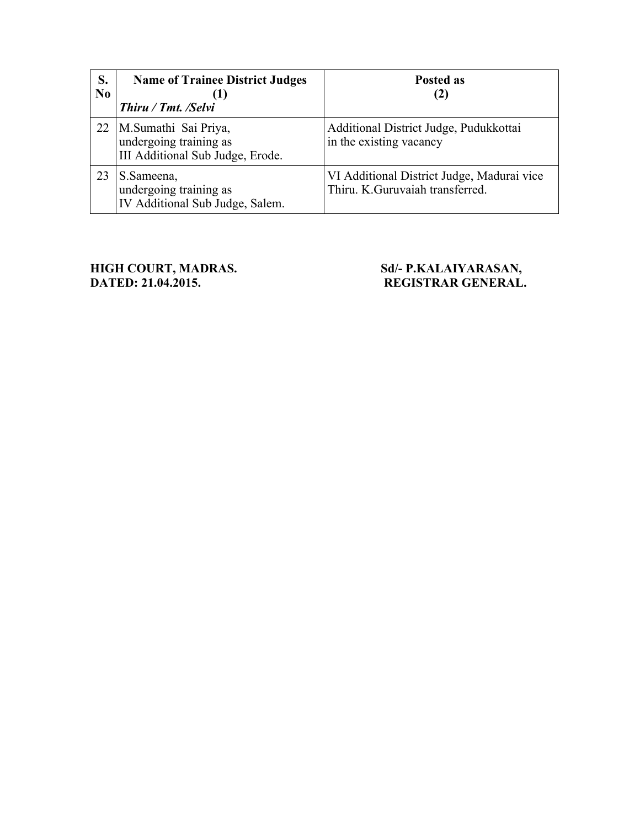| S.<br>N <sub>0</sub> | <b>Name of Trainee District Judges</b><br>(1)<br>Thiru / Tmt. /Selvi               | <b>Posted as</b><br>(2)                                                       |
|----------------------|------------------------------------------------------------------------------------|-------------------------------------------------------------------------------|
| 22                   | M.Sumathi Sai Priya,<br>undergoing training as<br>III Additional Sub Judge, Erode. | Additional District Judge, Pudukkottai<br>in the existing vacancy             |
| 23                   | S.Sameena,<br>undergoing training as<br>IV Additional Sub Judge, Salem.            | VI Additional District Judge, Madurai vice<br>Thiru. K.Guruvaiah transferred. |

**HIGH COURT, MADRAS.** Sd/- P.KALAIYARASAN, **DATED: 21.04.2015. REGISTRAR GENERAL.**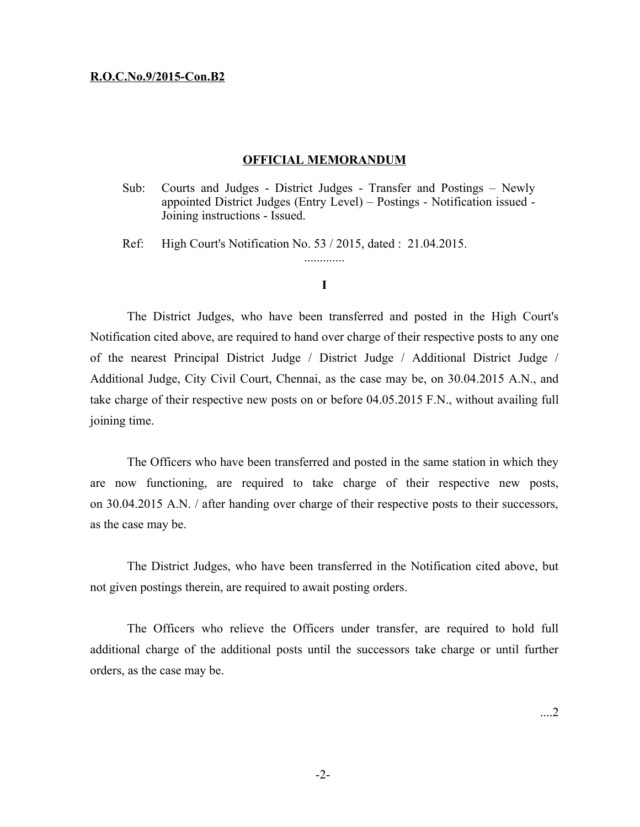#### **R.O.C.No.9/2015-Con.B2**

#### **OFFICIAL MEMORANDUM**

Sub: Courts and Judges - District Judges - Transfer and Postings – Newly appointed District Judges (Entry Level) – Postings - Notification issued - Joining instructions - Issued.

Ref: High Court's Notification No. 53 / 2015, dated : 21.04.2015.

#### **I**

.............

The District Judges, who have been transferred and posted in the High Court's Notification cited above, are required to hand over charge of their respective posts to any one of the nearest Principal District Judge / District Judge / Additional District Judge / Additional Judge, City Civil Court, Chennai, as the case may be, on 30.04.2015 A.N., and take charge of their respective new posts on or before 04.05.2015 F.N., without availing full joining time.

The Officers who have been transferred and posted in the same station in which they are now functioning, are required to take charge of their respective new posts, on 30.04.2015 A.N. / after handing over charge of their respective posts to their successors, as the case may be.

The District Judges, who have been transferred in the Notification cited above, but not given postings therein, are required to await posting orders.

The Officers who relieve the Officers under transfer, are required to hold full additional charge of the additional posts until the successors take charge or until further orders, as the case may be.

....2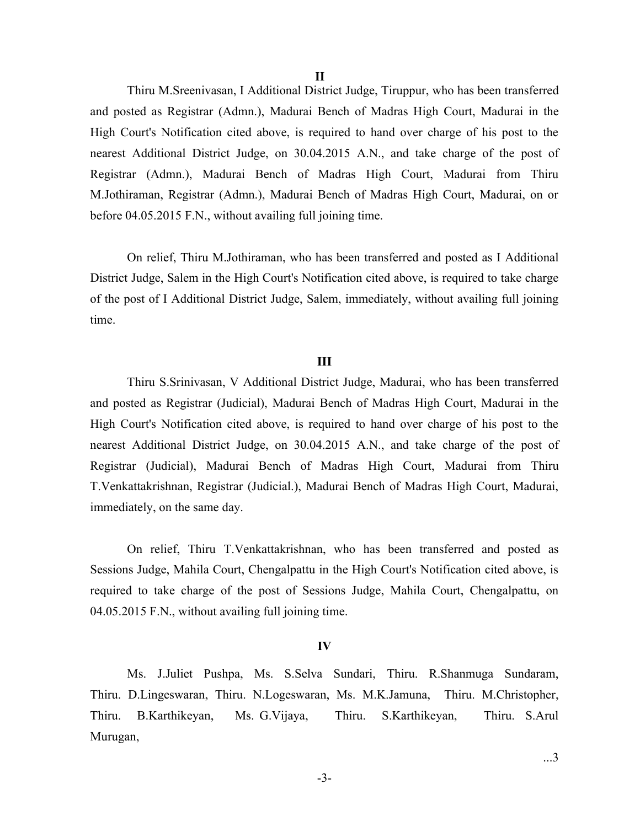**II**

Thiru M.Sreenivasan, I Additional District Judge, Tiruppur, who has been transferred and posted as Registrar (Admn.), Madurai Bench of Madras High Court, Madurai in the High Court's Notification cited above, is required to hand over charge of his post to the nearest Additional District Judge, on 30.04.2015 A.N., and take charge of the post of Registrar (Admn.), Madurai Bench of Madras High Court, Madurai from Thiru M.Jothiraman, Registrar (Admn.), Madurai Bench of Madras High Court, Madurai, on or before 04.05.2015 F.N., without availing full joining time.

On relief, Thiru M.Jothiraman, who has been transferred and posted as I Additional District Judge, Salem in the High Court's Notification cited above, is required to take charge of the post of I Additional District Judge, Salem, immediately, without availing full joining time.

#### **III**

Thiru S.Srinivasan, V Additional District Judge, Madurai, who has been transferred and posted as Registrar (Judicial), Madurai Bench of Madras High Court, Madurai in the High Court's Notification cited above, is required to hand over charge of his post to the nearest Additional District Judge, on 30.04.2015 A.N., and take charge of the post of Registrar (Judicial), Madurai Bench of Madras High Court, Madurai from Thiru T.Venkattakrishnan, Registrar (Judicial.), Madurai Bench of Madras High Court, Madurai, immediately, on the same day.

On relief, Thiru T.Venkattakrishnan, who has been transferred and posted as Sessions Judge, Mahila Court, Chengalpattu in the High Court's Notification cited above, is required to take charge of the post of Sessions Judge, Mahila Court, Chengalpattu, on 04.05.2015 F.N., without availing full joining time.

#### **IV**

Ms. J.Juliet Pushpa, Ms. S.Selva Sundari, Thiru. R.Shanmuga Sundaram, Thiru. D.Lingeswaran, Thiru. N.Logeswaran, Ms. M.K.Jamuna, Thiru. M.Christopher, Thiru. B.Karthikeyan, Ms. G.Vijaya, Thiru. S.Karthikeyan, Thiru. S.Arul Murugan,

-3-